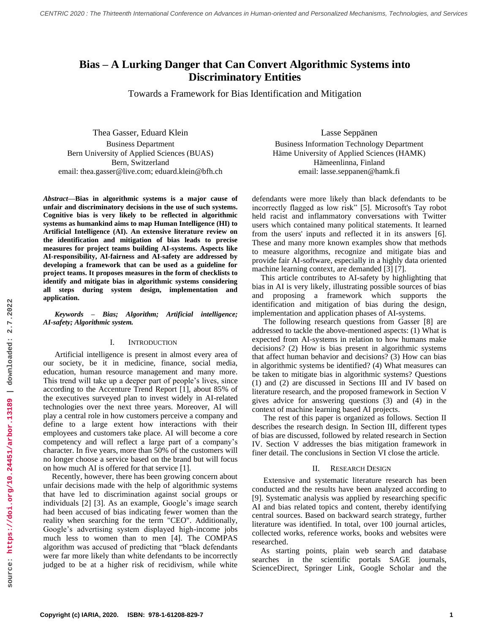# **Bias – A Lurking Danger that Can Convert Algorithmic Systems into Discriminatory Entities**

Towards a Framework for Bias Identification and Mitigation

Thea Gasser, Eduard Klein Business Department Bern University of Applied Sciences (BUAS) Bern, Switzerland email: thea.gasser@live.com; eduard.klein@bfh.ch

*Abstract***—Bias in algorithmic systems is a major cause of unfair and discriminatory decisions in the use of such systems. Cognitive bias is very likely to be reflected in algorithmic systems as humankind aims to map Human Intelligence (HI) to Artificial Intelligence (AI). An extensive literature review on the identification and mitigation of bias leads to precise measures for project teams building AI-systems. Aspects like AI-responsibility, AI-fairness and AI-safety are addressed by developing a framework that can be used as a guideline for project teams. It proposes measures in the form of checklists to identify and mitigate bias in algorithmic systems considering all steps during system design, implementation and application.**

*Keywords – Bias; Algorithm; Artificial intelligence; AI-safety; Algorithmic system.*

#### I. INTRODUCTION

Artificial intelligence is present in almost every area of our society, be it in medicine, finance, social media, education, human resource management and many more. This trend will take up a deeper part of people's lives, since according to the Accenture Trend Report [1], about 85% of the executives surveyed plan to invest widely in AI-related technologies over the next three years. Moreover, AI will play a central role in how customers perceive a company and define to a large extent how interactions with their employees and customers take place. AI will become a core competency and will reflect a large part of a company's character. In five years, more than 50% of the customers will no longer choose a service based on the brand but will focus on how much AI is offered for that service [1].

Recently, however, there has been growing concern about unfair decisions made with the help of algorithmic systems that have led to discrimination against social groups or individuals [2] [3]. As an example, Google's image search had been accused of bias indicating fewer women than the reality when searching for the term "CEO". Additionally, Google's advertising system displayed high-income jobs much less to women than to men [4]. The COMPAS algorithm was accused of predicting that "black defendants were far more likely than white defendants to be incorrectly judged to be at a higher risk of recidivism, while white

Lasse Seppänen Business Information Technology Department Häme University of Applied Sciences (HAMK) Hämeenlinna, Finland email: lasse.seppanen@hamk.fi

defendants were more likely than black defendants to be incorrectly flagged as low risk" [5]. Microsoft's Tay robot held racist and inflammatory conversations with Twitter users which contained many political statements. It learned from the users' inputs and reflected it in its answers [6]. These and many more known examples show that methods to measure algorithms, recognize and mitigate bias and provide fair AI-software, especially in a highly data oriented machine learning context, are demanded [3] [7].

This article contributes to AI-safety by highlighting that bias in AI is very likely, illustrating possible sources of bias and proposing a framework which supports the identification and mitigation of bias during the design, implementation and application phases of AI-systems.

The following research questions from Gasser [8] are addressed to tackle the above-mentioned aspects: (1) What is expected from AI-systems in relation to how humans make decisions? (2) How is bias present in algorithmic systems that affect human behavior and decisions? (3) How can bias in algorithmic systems be identified? (4) What measures can be taken to mitigate bias in algorithmic systems? Questions (1) and (2) are discussed in Sections III and IV based on literature research, and the proposed framework in Section V gives advice for answering questions (3) and (4) in the context of machine learning based AI projects.

The rest of this paper is organized as follows. Section II describes the research design. In Section III, different types of bias are discussed, followed by related research in Section IV. Section V addresses the bias mitigation framework in finer detail. The conclusions in Section VI close the article.

#### II. RESEARCH DESIGN

Extensive and systematic literature research has been conducted and the results have been analyzed according to [9]. Systematic analysis was applied by researching specific AI and bias related topics and content, thereby identifying central sources. Based on backward search strategy, further literature was identified. In total, over 100 journal articles, collected works, reference works, books and websites were researched.

As starting points, plain web search and database searches in the scientific portals SAGE journals, ScienceDirect, Springer Link, Google Scholar and the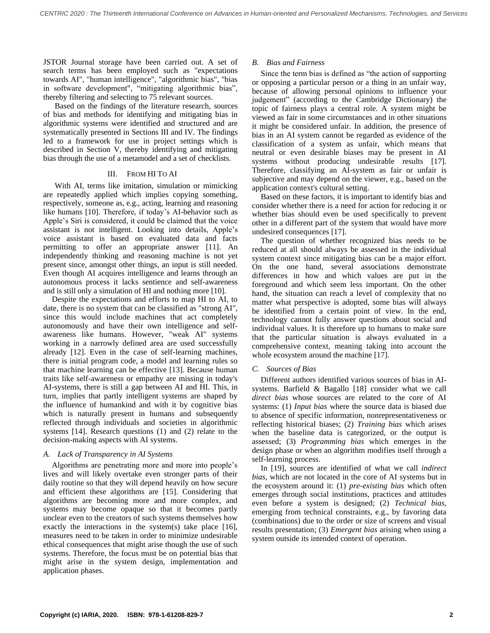JSTOR Journal storage have been carried out. A set of search terms has been employed such as "expectations towards AI", "human intelligence", "algorithmic bias", "bias in software development", "mitigating algorithmic bias", thereby filtering and selecting to 75 relevant sources.

Based on the findings of the literature research, sources of bias and methods for identifying and mitigating bias in algorithmic systems were identified and structured and are systematically presented in Sections III and IV. The findings led to a framework for use in project settings which is described in Section V, thereby identifying and mitigating bias through the use of a metamodel and a set of checklists.

### III. FROM HI TO AI

With AI, terms like imitation, simulation or mimicking are repeatedly applied which implies copying something, respectively, someone as, e.g., acting, learning and reasoning like humans [10]. Therefore, if today's AI-behavior such as Apple's Siri is considered, it could be claimed that the voice assistant is not intelligent. Looking into details, Apple's voice assistant is based on evaluated data and facts permitting to offer an appropriate answer [11]. An independently thinking and reasoning machine is not yet present since, amongst other things, an input is still needed. Even though AI acquires intelligence and learns through an autonomous process it lacks sentience and self-awareness and is still only a simulation of HI and nothing more [10].

Despite the expectations and efforts to map HI to AI, to date, there is no system that can be classified as "strong AI", since this would include machines that act completely autonomously and have their own intelligence and selfawareness like humans. However, "weak AI" systems working in a narrowly defined area are used successfully already [12]. Even in the case of self-learning machines, there is initial program code, a model and learning rules so that machine learning can be effective [13]. Because human traits like self-awareness or empathy are missing in today's AI-systems, there is still a gap between AI and HI. This, in turn, implies that partly intelligent systems are shaped by the influence of humankind and with it by cognitive bias which is naturally present in humans and subsequently reflected through individuals and societies in algorithmic systems [14]. Research questions (1) and (2) relate to the decision-making aspects with AI systems.

## *A. Lack of Transparency in AI Systems*

Algorithms are penetrating more and more into people's lives and will likely overtake even stronger parts of their daily routine so that they will depend heavily on how secure and efficient these algorithms are [15]. Considering that algorithms are becoming more and more complex, and systems may become opaque so that it becomes partly unclear even to the creators of such systems themselves how exactly the interactions in the system(s) take place [16], measures need to be taken in order to minimize undesirable ethical consequences that might arise though the use of such systems. Therefore, the focus must be on potential bias that might arise in the system design, implementation and application phases.

## *B. Bias and Fairness*

Since the term bias is defined as "the action of supporting or opposing a particular person or a thing in an unfair way, because of allowing personal opinions to influence your judgement" (according to the Cambridge Dictionary) the topic of fairness plays a central role. A system might be viewed as fair in some circumstances and in other situations it might be considered unfair. In addition, the presence of bias in an AI system cannot be regarded as evidence of the classification of a system as unfair, which means that neutral or even desirable biases may be present in AI systems without producing undesirable results [17]. Therefore, classifying an AI-system as fair or unfair is subjective and may depend on the viewer, e.g., based on the application context's cultural setting.

Based on these factors, it is important to identify bias and consider whether there is a need for action for reducing it or whether bias should even be used specifically to prevent other in a different part of the system that would have more undesired consequences [17].

The question of whether recognized bias needs to be reduced at all should always be assessed in the individual system context since mitigating bias can be a major effort. On the one hand, several associations demonstrate differences in how and which values are put in the foreground and which seem less important. On the other hand, the situation can reach a level of complexity that no matter what perspective is adopted, some bias will always be identified from a certain point of view. In the end, technology cannot fully answer questions about social and individual values. It is therefore up to humans to make sure that the particular situation is always evaluated in a comprehensive context, meaning taking into account the whole ecosystem around the machine [17].

## *C. Sources of Bias*

Different authors identified various sources of bias in AIsystems. Barfield & Bagallo [18] consider what we call *direct bias* whose sources are related to the core of AI systems: (1) *Input bias* where the source data is biased due to absence of specific information, nonrepresentativeness or reflecting historical biases; (2) *Training bias* which arises when the baseline data is categorized, or the output is assessed; (3) *Programming bias* which emerges in the design phase or when an algorithm modifies itself through a self-learning process.

In [19], sources are identified of what we call *indirect bias*, which are not located in the core of AI systems but in the ecosystem around it: (1) *pre-existing bias* which often emerges through social institutions, practices and attitudes even before a system is designed; (2) *Technical bias*, emerging from technical constraints, e.g., by favoring data (combinations) due to the order or size of screens and visual results presentation; (3) *Emergent bias* arising when using a system outside its intended context of operation.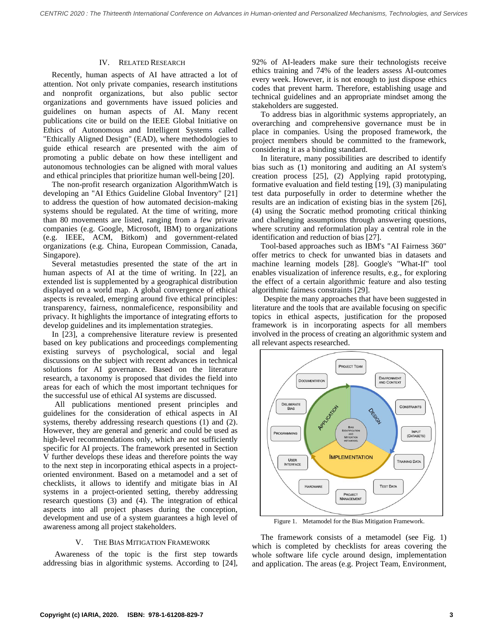#### IV. RELATED RESEARCH

Recently, human aspects of AI have attracted a lot of attention. Not only private companies, research institutions and nonprofit organizations, but also public sector organizations and governments have issued policies and guidelines on human aspects of AI. Many recent publications cite or build on the IEEE Global Initiative on Ethics of Autonomous and Intelligent Systems called "Ethically Aligned Design" (EAD), where methodologies to guide ethical research are presented with the aim of promoting a public debate on how these intelligent and autonomous technologies can be aligned with moral values and ethical principles that prioritize human well-being [20].

The non-profit research organization AlgorithmWatch is developing an "AI Ethics Guideline Global Inventory" [21] to address the question of how automated decision-making systems should be regulated. At the time of writing, more than 80 movements are listed, ranging from a few private companies (e.g. Google, Microsoft, IBM) to organizations (e.g. IEEE, ACM, Bitkom) and government-related organizations (e.g. China, European Commission, Canada, Singapore).

Several metastudies presented the state of the art in human aspects of AI at the time of writing. In [22], an extended list is supplemented by a geographical distribution displayed on a world map. A global convergence of ethical aspects is revealed, emerging around five ethical principles: transparency, fairness, nonmaleficence, responsibility and privacy. It highlights the importance of integrating efforts to develop guidelines and its implementation strategies.

In [23], a comprehensive literature review is presented based on key publications and proceedings complementing existing surveys of psychological, social and legal discussions on the subject with recent advances in technical solutions for AI governance. Based on the literature research, a taxonomy is proposed that divides the field into areas for each of which the most important techniques for the successful use of ethical AI systems are discussed.

All publications mentioned present principles and guidelines for the consideration of ethical aspects in AI systems, thereby addressing research questions (1) and (2). However, they are general and generic and could be used as high-level recommendations only, which are not sufficiently specific for AI projects. The framework presented in Section V further develops these ideas and therefore points the way to the next step in incorporating ethical aspects in a projectoriented environment. Based on a metamodel and a set of checklists, it allows to identify and mitigate bias in AI systems in a project-oriented setting, thereby addressing research questions (3) and (4). The integration of ethical aspects into all project phases during the conception, development and use of a system guarantees a high level of awareness among all project stakeholders.

#### V. THE BIAS MITIGATION FRAMEWORK

Awareness of the topic is the first step towards addressing bias in algorithmic systems. According to [24],

92% of AI-leaders make sure their technologists receive ethics training and 74% of the leaders assess AI-outcomes every week. However, it is not enough to just dispose ethics codes that prevent harm. Therefore, establishing usage and technical guidelines and an appropriate mindset among the stakeholders are suggested.

To address bias in algorithmic systems appropriately, an overarching and comprehensive governance must be in place in companies. Using the proposed framework, the project members should be committed to the framework, considering it as a binding standard.

In literature, many possibilities are described to identify bias such as (1) monitoring and auditing an AI system's creation process [25], (2) Applying rapid prototyping, formative evaluation and field testing [19], (3) manipulating test data purposefully in order to determine whether the results are an indication of existing bias in the system [26], (4) using the Socratic method promoting critical thinking and challenging assumptions through answering questions, where scrutiny and reformulation play a central role in the identification and reduction of bias [27].

Tool-based approaches such as IBM's "AI Fairness 360" offer metrics to check for unwanted bias in datasets and machine learning models [28]. Google's "What-If" tool enables visualization of inference results, e.g., for exploring the effect of a certain algorithmic feature and also testing algorithmic fairness constraints [29].

Despite the many approaches that have been suggested in literature and the tools that are available focusing on specific topics in ethical aspects, justification for the proposed framework is in incorporating aspects for all members involved in the process of creating an algorithmic system and all relevant aspects researched.



Figure 1. Metamodel for the Bias Mitigation Framework.

The framework consists of a metamodel (see Fig. 1) which is completed by checklists for areas covering the whole software life cycle around design, implementation and application. The areas (e.g. Project Team, Environment,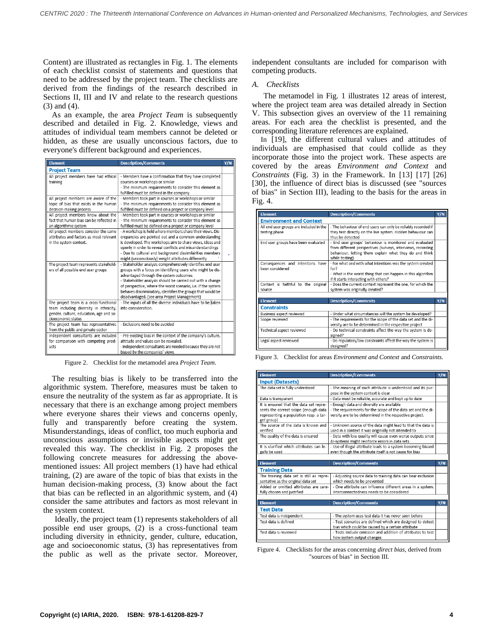Content) are illustrated as rectangles in Fig. 1. The elements of each checklist consist of statements and questions that need to be addressed by the project team. The checklists are derived from the findings of the research described in Sections II, III and IV and relate to the research questions (3) and (4).

As an example, the area *Project Team* is subsequently described and detailed in Fig. 2. Knowledge, views and attitudes of individual team members cannot be deleted or hidden, as these are usually unconscious factors, due to everyone's different background and experiences.

| <b>Element</b>                                                                                                                                    | <b>Description/Comments</b>                                                                                                                                                                                                                                                                                                                                                                                     | Y/N |
|---------------------------------------------------------------------------------------------------------------------------------------------------|-----------------------------------------------------------------------------------------------------------------------------------------------------------------------------------------------------------------------------------------------------------------------------------------------------------------------------------------------------------------------------------------------------------------|-----|
| <b>Project Team</b>                                                                                                                               |                                                                                                                                                                                                                                                                                                                                                                                                                 |     |
| All project members have had ethical<br>training                                                                                                  | - Members have a confirmation that they have completed<br>courses or workshops or similar<br>- The minimum requirements to consider this element as<br>fulfilled must be defined in the company                                                                                                                                                                                                                 |     |
| All project members are aware of the<br>topic of bias that exists in the human<br>decision-making process                                         | - Members took part in courses or workshops or similar<br>- The minimum requirements to consider this element as<br>fulfilled must be defined on a project or company level                                                                                                                                                                                                                                     |     |
| All project members know about the<br>fact that human bias can be reflected in<br>an algorithmic system                                           | - Members took part in courses or workshops or similar<br>- The minimum requirements to consider this element as<br>fulfilled must be defined on a project or company level                                                                                                                                                                                                                                     |     |
| All project members consider the same<br>attributes and factors as most relevant<br>in the system context.                                        | - A workshop is held where members share their views. Dis-<br>crepancies are pointed out and a common understanding<br>is developed. The workshops aim to share views, ideas and<br>openly in order to reveal conflicts and misunderstandings<br>- Due to cultural and background dissimilarities members<br>might (unconsciously) weight attributes differently                                                |     |
| The project team represents stakehold-<br>ers of all possible end user groups                                                                     | - Stakeholder analysis comprehensively identifies end user<br>groups with a focus on identifying users who might be dis-<br>advantaged through the system outcomes<br>- Stakeholder analysis should be carried out with a change<br>of perspective, where the worst scenario, i.e. if the system<br>behaves discriminatory, identifies the groups that would be<br>disadvantaged. (see area Project Management) |     |
| The project team is a cross-functional<br>team including diversity in ethnicity,<br>gender, culture, education, age and so-<br>cioeconomic status | - The inputs of all the diverse individuals have to be taken<br>into consideration.                                                                                                                                                                                                                                                                                                                             |     |
| The project team has representatives<br>from the public and private sector                                                                        | - Exclusions need to be avoided                                                                                                                                                                                                                                                                                                                                                                                 |     |
| Independent consultants are included<br>for comparison with competing prod-<br>ucts                                                               | - Pre-existing bias in the context of the company's culture,<br>attitude and values can be revealed.<br>- Independent consultants are needed because they are not<br>biased by the companies' views                                                                                                                                                                                                             |     |

Figure 2. Checklist for the metamodel area *Project Team*.

The resulting bias is likely to be transferred into the algorithmic system. Therefore, measures must be taken to ensure the neutrality of the system as far as appropriate. It is necessary that there is an exchange among project members where everyone shares their views and concerns openly, fully and transparently before creating the system. Misunderstandings, ideas of conflict, too much euphoria and unconscious assumptions or invisible aspects might get revealed this way. The checklist in Fig. 2 proposes the following concrete measures for addressing the abovementioned issues: All project members (1) have had ethical training, (2) are aware of the topic of bias that exists in the human decision-making process, (3) know about the fact that bias can be reflected in an algorithmic system, and (4) consider the same attributes and factors as most relevant in the system context.

Ideally, the project team (1) represents stakeholders of all possible end user groups, (2) is a cross-functional team including diversity in ethnicity, gender, culture, education, age and socioeconomic status, (3) has representatives from the public as well as the private sector. Moreover,

independent consultants are included for comparison with competing products.

#### *A. Checklists*

The metamodel in Fig. 1 illustrates 12 areas of interest, where the project team area was detailed already in Section V. This subsection gives an overview of the 11 remaining areas. For each area the checklist is presented, and the corresponding literature references are explained.

In [19], the different cultural values and attitudes of individuals are emphasised that could collide as they incorporate those into the project work. These aspects are covered by the areas *Environment and Context* and *Constraints* (Fig. 3) in the Framework. In [13] [17] [26] [30], the influence of direct bias is discussed (see "sources of bias" in Section III), leading to the basis for the areas in Fig. 4.

| <b>Element</b>                                      | <b>Description/Comments</b>                                                                                                                                                                        | Y/N |
|-----------------------------------------------------|----------------------------------------------------------------------------------------------------------------------------------------------------------------------------------------------------|-----|
| <b>Environment and Context</b>                      |                                                                                                                                                                                                    |     |
| All end user groups are included in the             | - The behaviour of end users can only be reliably recorded if                                                                                                                                      |     |
| testing phase                                       | they test directly on the live system. Hidden behaviour can<br>thus be detected                                                                                                                    |     |
| End user groups have been evaluated                 | - End user groups' behaviour is monitored and evaluated<br>from different perspectives (surveys, interviews, recording<br>behaviour, letting them explain what they do and think<br>while testing) |     |
| Consequences and intentions have<br>heen considered | - For what and with what intentions was the system created<br>for?<br>- What is the worst thing that can happen in this algorithm                                                                  |     |
|                                                     | if it starts interacting with others?                                                                                                                                                              |     |
| Context is faithful to the original<br>source       | - Does the current context represent the one, for which the<br>system was originally created?                                                                                                      |     |
|                                                     |                                                                                                                                                                                                    |     |
| <b>Element</b>                                      | <b>Description/Comments</b>                                                                                                                                                                        | Y/N |
| <b>Constraints</b>                                  |                                                                                                                                                                                                    |     |
| Business aspect reviewed                            | - Under what circumstances will the system be developed?                                                                                                                                           |     |
| Scope reviewed                                      | - The requirements for the scope of the data set and the di-<br>versity are to be determined in the respective project                                                                             |     |
| Technical aspect reviewed                           | - Do technical constraints affect the way the system is de-<br>signed?                                                                                                                             |     |
| Legal aspect reviewed                               | - Do regulatory/law constraints affect the way the system is<br>designed?                                                                                                                          |     |

| Figure 3. Checklist for areas <i>Environment and Context</i> and <i>Constraints</i> . |
|---------------------------------------------------------------------------------------|
|---------------------------------------------------------------------------------------|

| <b>Element</b>                                                                                                                         | <b>Description/Comments</b>                                                                                                                                          | Y/N |  |
|----------------------------------------------------------------------------------------------------------------------------------------|----------------------------------------------------------------------------------------------------------------------------------------------------------------------|-----|--|
| <b>Input (Datasets)</b>                                                                                                                |                                                                                                                                                                      |     |  |
| The data set is fully understood                                                                                                       | - The meaning of each attribute is understood and its pur-<br>pose in the system context is clear                                                                    |     |  |
| Data is transparent                                                                                                                    | - Data must be reliable, accurate and kept up to date                                                                                                                |     |  |
| It is ensured that the data set repre-<br>sents the correct scope (enough data<br>representing a population resp. a tar-<br>get group) | - Enough data and diversity are available<br>- The requirements for the scope of the data set and the di-<br>versity are to be determined in the respective project. |     |  |
| The source of the data is known and<br>verified                                                                                        | - Unknown source of the data might lead to that the data is<br>used in a context it was originally not intended to                                                   |     |  |
| The quality of the data is ensured                                                                                                     | - Data with low quality will cause even worse outputs since<br>AI-systems might reinforce errors in data sets                                                        |     |  |
| It is clarified which attributes can le-<br>gally be used                                                                              | - Use of illegal attribute leads to a system becoming biased<br>even though the attribute itself is not cause for bias                                               |     |  |
|                                                                                                                                        |                                                                                                                                                                      |     |  |
| <b>Flement</b>                                                                                                                         | <b>Description/Comments</b>                                                                                                                                          | Y/N |  |
| <b>Training Data</b>                                                                                                                   |                                                                                                                                                                      |     |  |
| The training data set is still as repre-<br>sentative as the original data set                                                         | - Adjusting source data to training data can bear exclusion<br>which needs to be prevented                                                                           |     |  |
| Added or omitted attributes are care-<br>fully chosen and justified                                                                    | - One attribute can influence different areas in a system.<br>Interconnectedness needs to be considered                                                              |     |  |
|                                                                                                                                        |                                                                                                                                                                      |     |  |
| <b>Element</b>                                                                                                                         | <b>Description/Comments</b>                                                                                                                                          | Y/N |  |
| <b>Test Data</b>                                                                                                                       |                                                                                                                                                                      |     |  |
| Test data is independent                                                                                                               | - The system uses test data it has never seen before                                                                                                                 |     |  |
| Test data is defined                                                                                                                   | - Test scenarios are defined which are designed to detect<br>bias which could be caused by a certain attribute                                                       |     |  |
| Test data is reviewed                                                                                                                  | - Tests include omission and addition of attributes to test<br>how system output changes                                                                             |     |  |

Figure 4. Checklists for the areas concerning *direct bias*, derived from "sources of bias" in Section III.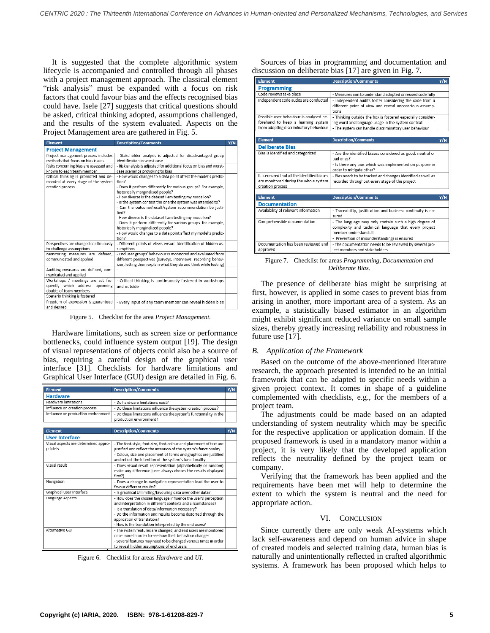It is suggested that the complete algorithmic system lifecycle is accompanied and controlled through all phases with a project management approach. The classical element "risk analysis" must be expanded with a focus on risk factors that could favour bias and the effects recognised bias could have. Isele [27] suggests that critical questions should be asked, critical thinking adopted, assumptions challenged, and the results of the system evaluated. Aspects on the Project Management area are gathered in Fig. 5.

| <b>Element</b>                                                                                   | <b>Description/Comments</b>                                                                                                                                                                                                                                                                                                                                                                                                                                                                                                                                                                                            | Y/N |
|--------------------------------------------------------------------------------------------------|------------------------------------------------------------------------------------------------------------------------------------------------------------------------------------------------------------------------------------------------------------------------------------------------------------------------------------------------------------------------------------------------------------------------------------------------------------------------------------------------------------------------------------------------------------------------------------------------------------------------|-----|
| <b>Project Management</b>                                                                        |                                                                                                                                                                                                                                                                                                                                                                                                                                                                                                                                                                                                                        |     |
| Project management process includes<br>methods that focus on bias issues                         | - Stakeholder analysis is adjusted for disadvantaged group<br>identification in worst case                                                                                                                                                                                                                                                                                                                                                                                                                                                                                                                             |     |
| Risks concerning bias are assessed and<br>known to each team member                              | - Risk analysis is adjusted for additional focus on bias and worst-<br>case scenarios provoking to bias                                                                                                                                                                                                                                                                                                                                                                                                                                                                                                                |     |
| Critical thinking is promoted and de-<br>manded at every stage of the system<br>creation process | - How would changes to a data point affect the model's predic-<br>tion?<br>- Does it perform differently for various groups? For example,<br>historically marginalised people?<br>- How diverse is the dataset I am testing my model on?<br>- Is the system context the one the system was intended to?<br>- Can the outcome/result/system recommendation be justi-<br>fied?<br>- How diverse is the dataset I am testing my model on?<br>- Does it perform differently for various groups-for example,<br>historically marginalized people?<br>- How would changes to a data point affect my model's predic-<br>tion? |     |
| Perspectives are changed continuously<br>to challenge assumptions                                | - Different points of views ensure identification of hidden as-<br>sumptions                                                                                                                                                                                                                                                                                                                                                                                                                                                                                                                                           |     |
| defined.<br>Monitoring measures are<br>communicated and applied                                  | - End user groups' behaviour is monitored and evaluated from<br>different perspectives (surveys, interviews, recording behav-<br>iour, letting them explain what they do and think while testing)                                                                                                                                                                                                                                                                                                                                                                                                                      |     |
| Auditing measures are defined, com-<br>municated and applied                                     |                                                                                                                                                                                                                                                                                                                                                                                                                                                                                                                                                                                                                        |     |
| Workshops / meetings are set fre-<br>quently which address upcoming<br>doubts of team members    | - Critical thinking is continuously fostered in workshops<br>and outside                                                                                                                                                                                                                                                                                                                                                                                                                                                                                                                                               |     |
| Scenario thinking is fostered                                                                    |                                                                                                                                                                                                                                                                                                                                                                                                                                                                                                                                                                                                                        |     |
| Freedom of expression is guaranteed<br>and docirod                                               | - Every input of any team member can reveal hidden bias                                                                                                                                                                                                                                                                                                                                                                                                                                                                                                                                                                |     |

Figure 5. Checklist for the area *Project Management.*

Hardware limitations, such as screen size or performance bottlenecks, could influence system output [19]. The design of visual representations of objects could also be a source of bias, requiring a careful design of the graphical user interface [31]. Checklists for hardware limitations and Graphical User Interface (GUI) design are detailed in Fig. 6.

| Element                              | <b>Description/Comments</b>                                                                                                     | Y/N |
|--------------------------------------|---------------------------------------------------------------------------------------------------------------------------------|-----|
| <b>Hardware</b>                      |                                                                                                                                 |     |
| <b>Hardware limitations</b>          | - Do hardware limitations exist?                                                                                                |     |
| Influence on creation process        | - Do these limitations influence the system creation process?                                                                   |     |
| Influence on production environment  | - Do these limitations influence the system's functionality in the                                                              |     |
|                                      | production environment?                                                                                                         |     |
|                                      |                                                                                                                                 |     |
| <b>Element</b>                       | <b>Description/Comments</b>                                                                                                     | Y/N |
| <b>User Interface</b>                |                                                                                                                                 |     |
| Visual aspects are determined appro- | - The font-style, font-size, font-colour and placement of text are                                                              |     |
| priately                             | justified and reflect the intention of the system's functionality                                                               |     |
|                                      | - Colour, size and placement of forms and graphics are justified                                                                |     |
| Visual result                        | and reflect the intention of the system's functionality                                                                         |     |
|                                      | - Does visual result representation (alphabetically or random)<br>make any difference (user always choses the results displayed |     |
|                                      | first?)                                                                                                                         |     |
| Navigation                           | - Does a change in navigation representation lead the user to                                                                   |     |
|                                      | favour different results?                                                                                                       |     |
| Graphical User Interface             | - Is graphical UI limiting/favouring data over other data?                                                                      |     |
| Language Aspects                     | - How does the chosen language influence the user's perception                                                                  |     |
|                                      | and interpretation in different contexts and circumstances?                                                                     |     |
|                                      | - Is a translation of data/information necessary?                                                                               |     |
|                                      | - Do the information and results become distorted through the                                                                   |     |
|                                      | application of translation?<br>- How is the translation interpreted by the end users?                                           |     |
| Alternative GUI                      | - The system features are changed, and end users are monitored                                                                  |     |
|                                      | once more in order to see how their behaviour changes                                                                           |     |
|                                      | - Several features may need to be changed various times in order                                                                |     |
|                                      | to reveal hidden assumptions of end users                                                                                       |     |
|                                      |                                                                                                                                 |     |

Figure 6. Checklist for areas *Hardware* and *UI.*

Sources of bias in programming and documentation and discussion on deliberate bias [17] are given in Fig. 7.

| <b>Element</b>                                                                                            | <b>Description/Comments</b>                                                                                                                                                            | Y/N |
|-----------------------------------------------------------------------------------------------------------|----------------------------------------------------------------------------------------------------------------------------------------------------------------------------------------|-----|
| <b>Programming</b>                                                                                        |                                                                                                                                                                                        |     |
| Code reviews take place                                                                                   | - Measures aim to understand adapted or reused code fully                                                                                                                              |     |
| Independent code audits are conducted                                                                     | - Independent audits foster considering the code from a<br>different point of view and reveal unconscious assump-                                                                      |     |
|                                                                                                           | tions                                                                                                                                                                                  |     |
| Possible user behaviour is analysed be-                                                                   | - Thinking outside the box is fostered especially consider-                                                                                                                            |     |
| forehand to keep a learning system                                                                        | ing word and language usage in the system context                                                                                                                                      |     |
| from adopting discriminatory behaviour                                                                    | - The system can handle discriminatory user behaviour                                                                                                                                  |     |
|                                                                                                           |                                                                                                                                                                                        |     |
| <b>Element</b>                                                                                            | <b>Description/Comments</b>                                                                                                                                                            | Y/N |
| <b>Deliberate Bias</b>                                                                                    |                                                                                                                                                                                        |     |
| Bias is identified and categorized                                                                        | - Are the identified biases considered as good, neutral or<br>had ones?                                                                                                                |     |
|                                                                                                           | - Is there any bias which was implemented on purpose in<br>order to mitigate other?                                                                                                    |     |
| It is ensured that all the identified biases<br>are monitored during the whole system<br>creation process | - Bias needs to be tracked and changes identified as well as<br>recorded throughout every stage of the project                                                                         |     |
|                                                                                                           |                                                                                                                                                                                        |     |
| <b>Element</b>                                                                                            | <b>Description/Comments</b>                                                                                                                                                            | Y/N |
| <b>Documentation</b>                                                                                      |                                                                                                                                                                                        |     |
| Availability of relevant information                                                                      | - Traceability, justification and business continuity is en-<br>Sured                                                                                                                  |     |
| Comprehensible documentation                                                                              | - The language may only contain such a high degree of<br>complexity and technical language that every project<br>member understands it<br>- Prevention of misunderstandings is ensured |     |
| Documentation has been reviewed and                                                                       | - The documentation needs to be reviewed by several pro-                                                                                                                               |     |
| approved                                                                                                  | ject members and stakeholders                                                                                                                                                          |     |

Figure 7. Checklist for areas *Programming, Documentation and Deliberate Bias.*

The presence of deliberate bias might be surprising at first, however, is applied in some cases to prevent bias from arising in another, more important area of a system. As an example, a statistically biased estimator in an algorithm might exhibit significant reduced variance on small sample sizes, thereby greatly increasing reliability and robustness in future use [17].

## *B. Application of the Framework*

Based on the outcome of the above-mentioned literature research, the approach presented is intended to be an initial framework that can be adapted to specific needs within a given project context. It comes in shape of a guideline complemented with checklists, e.g., for the members of a project team.

The adjustments could be made based on an adapted understanding of system neutrality which may be specific for the respective application or application domain. If the proposed framework is used in a mandatory manor within a project, it is very likely that the developed application reflects the neutrality defined by the project team or company.

Verifying that the framework has been applied and the requirements have been met will help to determine the extent to which the system is neutral and the need for appropriate action.

### VI. CONCLUSION

Since currently there are only weak AI-systems which lack self-awareness and depend on human advice in shape of created models and selected training data, human bias is naturally and unintentionally reflected in crafted algorithmic systems. A framework has been proposed which helps to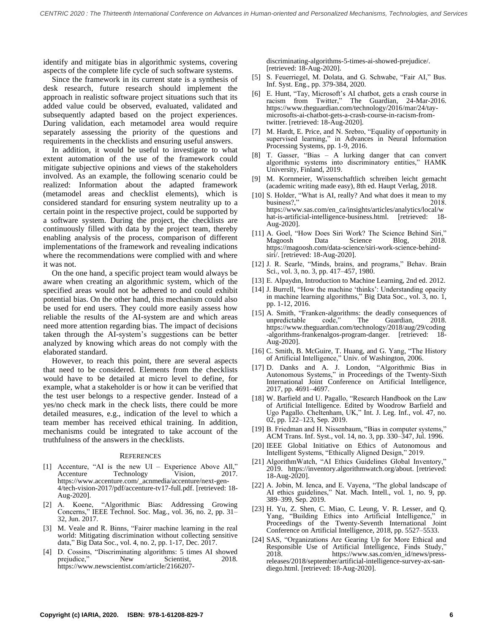identify and mitigate bias in algorithmic systems, covering aspects of the complete life cycle of such software systems.

Since the framework in its current state is a synthesis of desk research, future research should implement the approach in realistic software project situations such that its added value could be observed, evaluated, validated and subsequently adapted based on the project experiences. During validation, each metamodel area would require separately assessing the priority of the questions and requirements in the checklists and ensuring useful answers.

In addition, it would be useful to investigate to what extent automation of the use of the framework could mitigate subjective opinions and views of the stakeholders involved. As an example, the following scenario could be realized: Information about the adapted framework (metamodel areas and checklist elements), which is considered standard for ensuring system neutrality up to a certain point in the respective project, could be supported by a software system. During the project, the checklists are continuously filled with data by the project team, thereby enabling analysis of the process, comparison of different implementations of the framework and revealing indications where the recommendations were complied with and where it was not.

On the one hand, a specific project team would always be aware when creating an algorithmic system, which of the specified areas would not be adhered to and could exhibit potential bias. On the other hand, this mechanism could also be used for end users. They could more easily assess how reliable the results of the AI-system are and which areas need more attention regarding bias. The impact of decisions taken through the AI-system's suggestions can be better analyzed by knowing which areas do not comply with the elaborated standard.

However, to reach this point, there are several aspects that need to be considered. Elements from the checklists would have to be detailed at micro level to define, for example, what a stakeholder is or how it can be verified that the test user belongs to a respective gender. Instead of a yes/no check mark in the check lists, there could be more detailed measures, e.g., indication of the level to which a team member has received ethical training. In addition, mechanisms could be integrated to take account of the truthfulness of the answers in the checklists.

#### **REFERENCES**

- [1] Accenture, "AI is the new UI Experience Above All," Accenture Technology Vision, 2017. https://www.accenture.com/\_acnmedia/accenture/next-gen-4/tech-vision-2017/pdf/accenture-tv17-full.pdf. [retrieved: 18- Aug-2020].
- [2] A. Koene, "Algorithmic Bias: Addressing Growing Concerns," IEEE Technol. Soc. Mag., vol. 36, no. 2, pp. 31– 32, Jun. 2017.
- [3] M. Veale and R. Binns, "Fairer machine learning in the real world: Mitigating discrimination without collecting sensitive data," Big Data Soc., vol. 4, no. 2, pp. 1-17, Dec. 2017.
- [4] D. Cossins, "Discriminating algorithms: 5 times AI showed prejudice." New Scientist, https://www.newscientist.com/article/2166207-

discriminating-algorithms-5-times-ai-showed-prejudice/. [retrieved: 18-Aug-2020].

- [5] S. Feuerriegel, M. Dolata, and G. Schwabe, "Fair AI," Bus. Inf. Syst. Eng., pp. 379-384, 2020.
- [6] E. Hunt, "Tay, Microsoft's AI chatbot, gets a crash course in racism from Twitter," The Guardian, 24-Mar-2016. https://www.theguardian.com/technology/2016/mar/24/taymicrosofts-ai-chatbot-gets-a-crash-course-in-racism-fromtwitter. [retrieved: 18-Aug-2020].
- [7] M. Hardt, E. Price, and N. Srebro, "Equality of opportunity in supervised learning," in Advances in Neural Information Processing Systems, pp. 1-9, 2016.
- [8] T. Gasser, "Bias A lurking danger that can convert algorithmic systems into discriminatory entities," HAMK University, Finland, 2019.
- [9] M. Kornmeier, Wissenschaftlich schreiben leicht gemacht (academic writing made easy), 8th ed. Haupt Verlag, 2018.
- [10] S. Holder, "What is AI, really? And what does it mean to my business?," 2018. https://www.sas.com/en\_ca/insights/articles/analytics/local/w hat-is-artificial-intelligence-business.html. [retrieved: 18-Aug-2020].
- [11] A. Goel, "How Does Siri Work? The Science Behind Siri," Magoosh https://magoosh.com/data-science/siri-work-science-behindsiri/. [retrieved: 18-Aug-2020].
- [12] J. R. Searle, "Minds, brains, and programs," Behav. Brain Sci., vol. 3, no. 3, pp. 417–457, 1980.
- [13] E. Alpaydın, Introduction to Machine Learning, 2nd ed. 2012.
- [14] J. Burrell, "How the machine 'thinks': Understanding opacity in machine learning algorithms," Big Data Soc., vol. 3, no. 1, pp. 1-12, 2016.
- [15] A. Smith, "Franken-algorithms: the deadly consequences of unpredictable code," The Guardian, 2018. https://www.theguardian.com/technology/2018/aug/29/coding -algorithms-frankenalgos-program-danger. [retrieved: 18- Aug-2020].
- [16] C. Smith, B. McGuire, T. Huang, and G. Yang, "The History of Artificial Intelligence," Univ. of Washington, 2006.
- [17] D. Danks and A. J. London, "Algorithmic Bias in Autonomous Systems," in Proceedings of the Twenty-Sixth International Joint Conference on Artificial Intelligence, 2017, pp. 4691–4697.
- [18] W. Barfield and U. Pagallo, "Research Handbook on the Law of Artificial Intelligence. Edited by Woodrow Barfield and Ugo Pagallo. Cheltenham, UK," Int. J. Leg. Inf., vol. 47, no. 02, pp. 122–123, Sep. 2019.
- [19] B. Friedman and H. Nissenbaum, "Bias in computer systems," ACM Trans. Inf. Syst., vol. 14, no. 3, pp. 330–347, Jul. 1996.
- [20] IEEE Global Initiative on Ethics of Autonomous and Intelligent Systems, "Ethically Aligned Design," 2019.
- [21] AlgorithmWatch, "AI Ethics Guidelines Global Inventory," 2019. https://inventory.algorithmwatch.org/about. [retrieved: 18-Aug-2020].
- [22] A. Jobin, M. Ienca, and E. Vayena, "The global landscape of AI ethics guidelines," Nat. Mach. Intell., vol. 1, no. 9, pp. 389–399, Sep. 2019.
- [23] H. Yu, Z. Shen, C. Miao, C. Leung, V. R. Lesser, and Q. Yang, "Building Ethics into Artificial Intelligence," in Proceedings of the Twenty-Seventh International Joint Conference on Artificial Intelligence, 2018, pp. 5527–5533.
- [24] SAS, "Organizations Are Gearing Up for More Ethical and Responsible Use of Artificial Intelligence, Finds Study," 2018. https://www.sas.com/en\_id/news/pressreleases/2018/september/artificial-intelligence-survey-ax-sandiego.html. [retrieved: 18-Aug-2020].